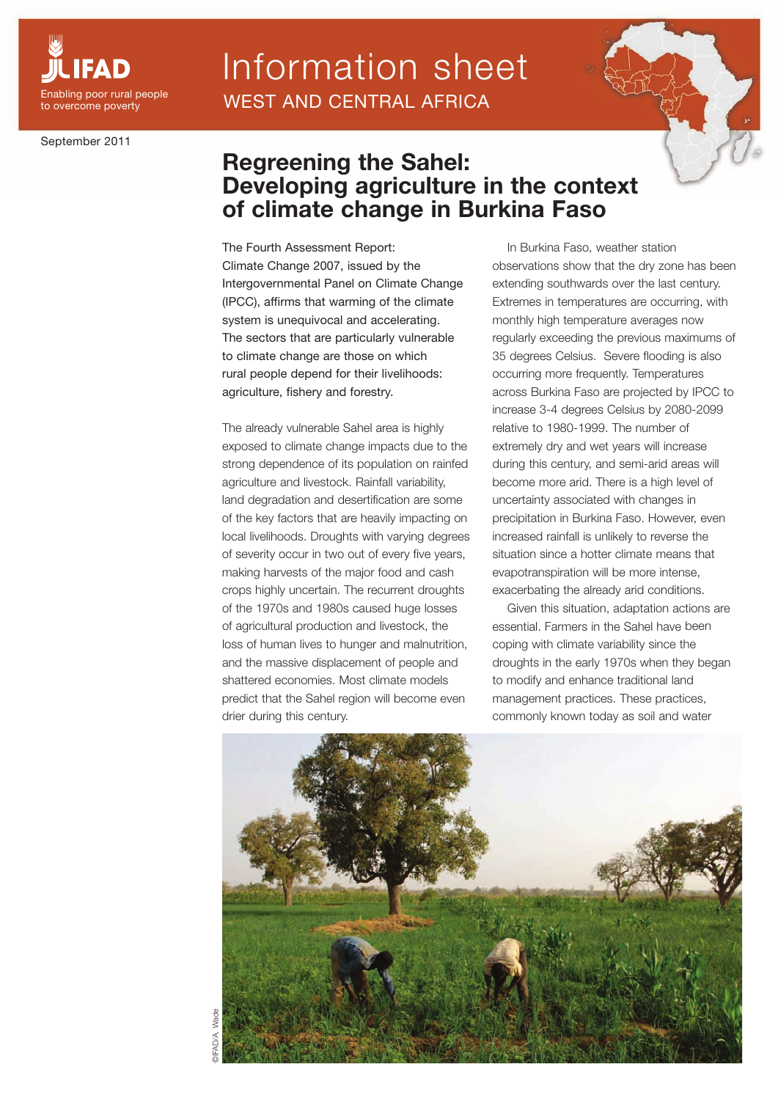

September 2011

## Information sheet WEST AND CENTRAL AFRICA



The Fourth Assessment Report: Climate Change 2007, issued by the Intergovernmental Panel on Climate Change (IPCC), affirms that warming of the climate system is unequivocal and accelerating. The sectors that are particularly vulnerable to climate change are those on which rural people depend for their livelihoods: agriculture, fishery and forestry.

The already vulnerable Sahel area is highly exposed to climate change impacts due to the strong dependence of its population on rainfed agriculture and livestock. Rainfall variability, land degradation and desertification are some of the key factors that are heavily impacting on local livelihoods. Droughts with varying degrees of severity occur in two out of every five years, making harvests of the major food and cash crops highly uncertain. The recurrent droughts of the 1970s and 1980s caused huge losses of agricultural production and livestock, the loss of human lives to hunger and malnutrition, and the massive displacement of people and shattered economies. Most climate models predict that the Sahel region will become even drier during this century.

In Burkina Faso, weather station observations show that the dry zone has been extending southwards over the last century. Extremes in temperatures are occurring, with monthly high temperature averages now regularly exceeding the previous maximums of 35 degrees Celsius. Severe flooding is also occurring more frequently. Temperatures across Burkina Faso are projected by IPCC to increase 3-4 degrees Celsius by 2080-2099 relative to 1980-1999. The number of extremely dry and wet years will increase during this century, and semi-arid areas will become more arid. There is a high level of uncertainty associated with changes in precipitation in Burkina Faso. However, even increased rainfall is unlikely to reverse the situation since a hotter climate means that evapotranspiration will be more intense, exacerbating the already arid conditions.

Given this situation, adaptation actions are essential. Farmers in the Sahel have been coping with climate variability since the droughts in the early 1970s when they began to modify and enhance traditional land management practices. These practices, commonly known today as soil and water

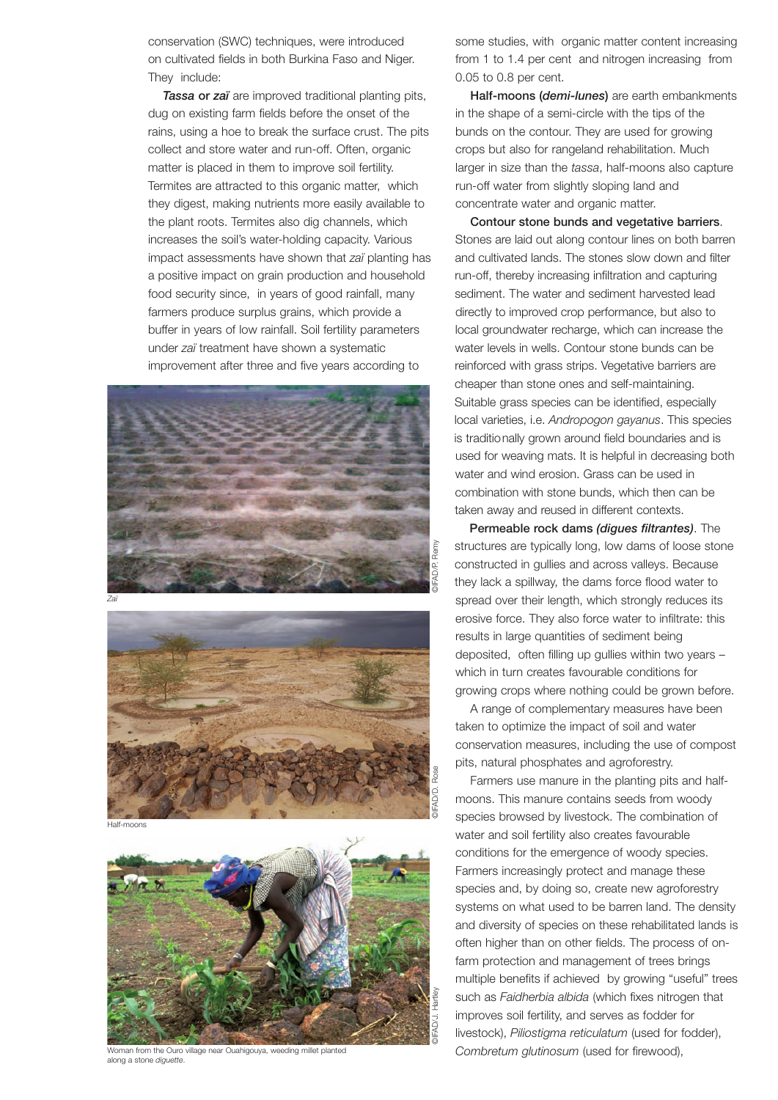conservation (SWC) techniques, were introduced on cultivated fields in both Burkina Faso and Niger. They include:

*Tassa* or *zaï* are improved traditional planting pits, dug on existing farm fields before the onset of the rains, using a hoe to break the surface crust. The pits collect and store water and run-off. Often, organic matter is placed in them to improve soil fertility. Termites are attracted to this organic matter, which they digest, making nutrients more easily available to the plant roots. Termites also dig channels, which increases the soil's water-holding capacity. Various impact assessments have shown that *zaï* planting has a positive impact on grain production and household food security since, in years of good rainfall, many farmers produce surplus grains, which provide a buffer in years of low rainfall. Soil fertility parameters under *zaï* treatment have shown a systematic improvement after three and five years according to





Half-moons



Woman from the Ouro village near Ouahigouya, weeding millet planted along a stone *diguette* 

some studies, with organic matter content increasing from 1 to 1.4 per cent and nitrogen increasing from 0.05 to 0.8 per cent.

Half-moons (*demi-lunes*) are earth embankments in the shape of a semi-circle with the tips of the bunds on the contour. They are used for growing crops but also for rangeland rehabilitation. Much larger in size than the *tassa*, half-moons also capture run-off water from slightly sloping land and concentrate water and organic matter.

Contour stone bunds and vegetative barriers. Stones are laid out along contour lines on both barren and cultivated lands. The stones slow down and filter run-off, thereby increasing infiltration and capturing sediment. The water and sediment harvested lead directly to improved crop performance, but also to local groundwater recharge, which can increase the water levels in wells. Contour stone bunds can be reinforced with grass strips. Vegetative barriers are cheaper than stone ones and self-maintaining. Suitable grass species can be identified, especially local varieties, i.e. *Andropogon gayanus*. This species is traditionally grown around field boundaries and is used for weaving mats. It is helpful in decreasing both water and wind erosion. Grass can be used in combination with stone bunds, which then can be taken away and reused in different contexts.

Permeable rock dams *(digues filtrantes)*. The structures are typically long, low dams of loose stone constructed in gullies and across valleys. Because they lack a spillway, the dams force flood water to spread over their length, which strongly reduces its erosive force. They also force water to infiltrate: this results in large quantities of sediment being deposited, often filling up gullies within two years – which in turn creates favourable conditions for growing crops where nothing could be grown before.

A range of complementary measures have been taken to optimize the impact of soil and water conservation measures, including the use of compost pits, natural phosphates and agroforestry.

Farmers use manure in the planting pits and halfmoons. This manure contains seeds from woody species browsed by livestock. The combination of water and soil fertility also creates favourable conditions for the emergence of woody species. Farmers increasingly protect and manage these species and, by doing so, create new agroforestry systems on what used to be barren land. The density and diversity of species on these rehabilitated lands is often higher than on other fields. The process of onfarm protection and management of trees brings multiple benefits if achieved by growing "useful" trees such as *Faidherbia albida* (which fixes nitrogen that improves soil fertility, and serves as fodder for livestock), *Piliostigma reticulatum* (used for fodder), *Combretum glutinosum* (used for firewood),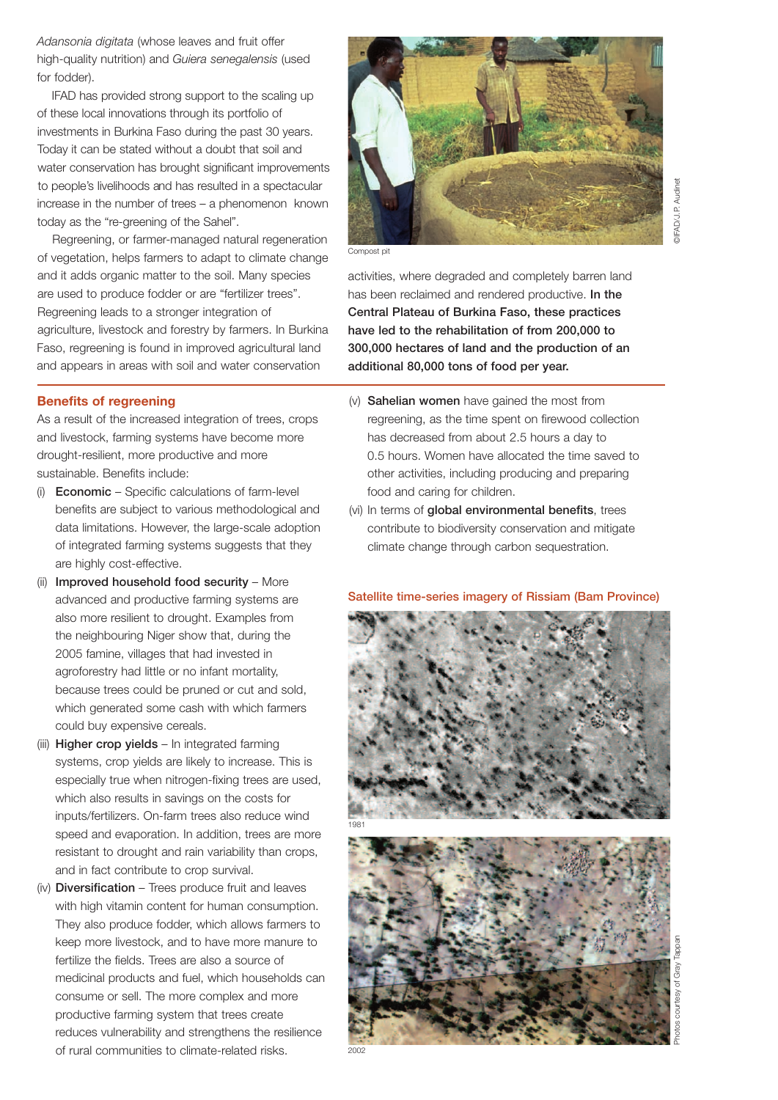*Adansonia digitata* (whose leaves and fruit offer high-quality nutrition) and *Guiera senegalensis* (used for fodder).

IFAD has provided strong support to the scaling up of these local innovations through its portfolio of investments in Burkina Faso during the past 30 years. Today it can be stated without a doubt that soil and water conservation has brought significant improvements to people's livelihoods and has resulted in a spectacular increase in the number of trees – a phenomenon known today as the "re-greening of the Sahel".

Regreening, or farmer-managed natural regeneration of vegetation, helps farmers to adapt to climate change and it adds organic matter to the soil. Many species are used to produce fodder or are "fertilizer trees". Regreening leads to a stronger integration of agriculture, livestock and forestry by farmers. In Burkina Faso, regreening is found in improved agricultural land and appears in areas with soil and water conservation

## **Benefits of regreening**

As a result of the increased integration of trees, crops and livestock, farming systems have become more drought-resilient, more productive and more sustainable. Benefits include:

- (i) Economic Specific calculations of farm-level benefits are subject to various methodological and data limitations. However, the large-scale adoption of integrated farming systems suggests that they are highly cost-effective.
- (ii) Improved household food security More advanced and productive farming systems are also more resilient to drought. Examples from the neighbouring Niger show that, during the 2005 famine, villages that had invested in agroforestry had little or no infant mortality, because trees could be pruned or cut and sold, which generated some cash with which farmers could buy expensive cereals.
- (iii) **Higher crop yields** In integrated farming systems, crop yields are likely to increase. This is especially true when nitrogen-fixing trees are used, which also results in savings on the costs for inputs/fertilizers. On-farm trees also reduce wind speed and evaporation. In addition, trees are more resistant to drought and rain variability than crops, and in fact contribute to crop survival.
- (iv) Diversification Trees produce fruit and leaves with high vitamin content for human consumption. They also produce fodder, which allows farmers to keep more livestock, and to have more manure to fertilize the fields. Trees are also a source of medicinal products and fuel, which households can consume or sell. The more complex and more productive farming system that trees create reduces vulnerability and strengthens the resilience of rural communities to climate-related risks.



Compost pit

activities, where degraded and completely barren land has been reclaimed and rendered productive. In the Central Plateau of Burkina Faso, these practices have led to the rehabilitation of from 200,000 to 300,000 hectares of land and the production of an additional 80,000 tons of food per year.

- (v) Sahelian women have gained the most from regreening, as the time spent on firewood collection has decreased from about 2.5 hours a day to 0.5 hours. Women have allocated the time saved to other activities, including producing and preparing food and caring for children.
- (vi) In terms of global environmental benefits, trees contribute to biodiversity conservation and mitigate climate change through carbon sequestration.

## Satellite time-series imagery of Rissiam (Bam Province)